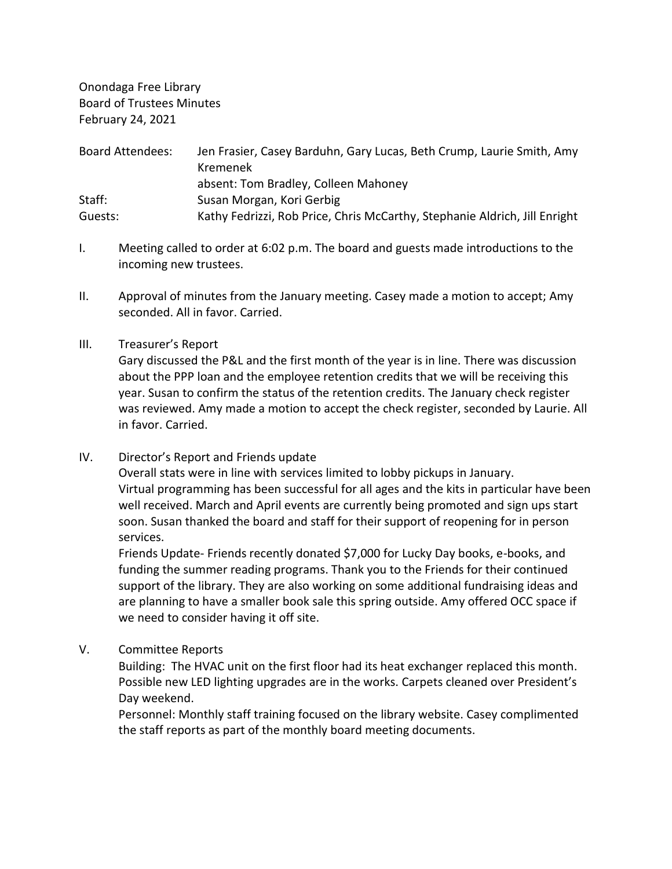Onondaga Free Library Board of Trustees Minutes February 24, 2021

| <b>Board Attendees:</b> | Jen Frasier, Casey Barduhn, Gary Lucas, Beth Crump, Laurie Smith, Amy<br>Kremenek |
|-------------------------|-----------------------------------------------------------------------------------|
|                         | absent: Tom Bradley, Colleen Mahoney                                              |
| Staff:                  | Susan Morgan, Kori Gerbig                                                         |
| Guests:                 | Kathy Fedrizzi, Rob Price, Chris McCarthy, Stephanie Aldrich, Jill Enright        |

- I. Meeting called to order at 6:02 p.m. The board and guests made introductions to the incoming new trustees.
- II. Approval of minutes from the January meeting. Casey made a motion to accept; Amy seconded. All in favor. Carried.
- III. Treasurer's Report

Gary discussed the P&L and the first month of the year is in line. There was discussion about the PPP loan and the employee retention credits that we will be receiving this year. Susan to confirm the status of the retention credits. The January check register was reviewed. Amy made a motion to accept the check register, seconded by Laurie. All in favor. Carried.

IV. Director's Report and Friends update

Overall stats were in line with services limited to lobby pickups in January. Virtual programming has been successful for all ages and the kits in particular have been well received. March and April events are currently being promoted and sign ups start soon. Susan thanked the board and staff for their support of reopening for in person services.

Friends Update- Friends recently donated \$7,000 for Lucky Day books, e-books, and funding the summer reading programs. Thank you to the Friends for their continued support of the library. They are also working on some additional fundraising ideas and are planning to have a smaller book sale this spring outside. Amy offered OCC space if we need to consider having it off site.

V. Committee Reports

Building: The HVAC unit on the first floor had its heat exchanger replaced this month. Possible new LED lighting upgrades are in the works. Carpets cleaned over President's Day weekend.

Personnel: Monthly staff training focused on the library website. Casey complimented the staff reports as part of the monthly board meeting documents.